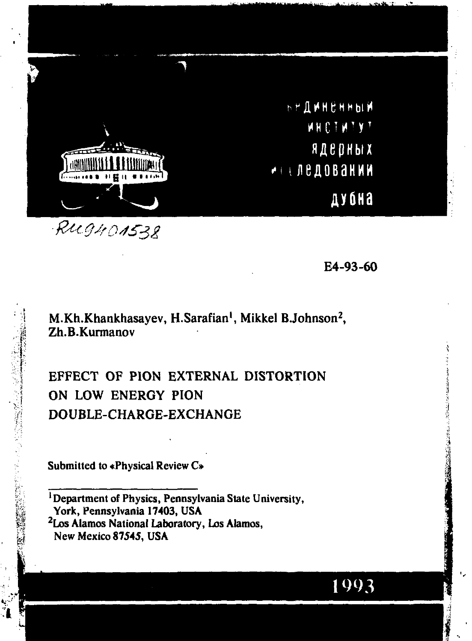

Rughonsze

E4-93-60

M.Kh.Khankhasayev, H.Sarafian<sup>1</sup>, Mikkel B.Johnson<sup>2</sup>, Zh.B.Kurmanov

EFFECT OF PION EXTERNAL DISTORTION ON LOW ENERGY PION DOUBLE-CHARGE-EXCHANGE

Submitted to «Physical Review C»

<sup>1</sup>Department of Physics, Pennsylvania State University, York, Pennsylvania 17403, USA <sup>2</sup>Los Alamos National Laboratory, Los Alamos, New Mexico 87545, USA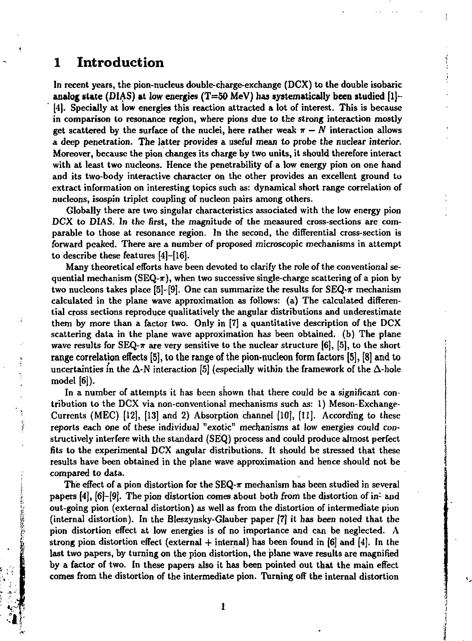# **1 Introduction**

**Barried Corporation** 

このことに、私の人に対抗などともにものの

In recent years, the pion-nucleus double-charge-exchange (DCX) to the double isobaric **analog state** (DIAS) **at** low energies (T=50 MeV) has **systematically been studied** [1]- [4]. Specially at low energies this reaction attracted a lot of interest. This is because in comparison to resonance region, where pions due to the strong interaction mostly get scattered by the surface of the nuclei, here rather weak  $\pi - N$  interaction allows a deep penetration. The latter provides a useful mean to probe the nuclear interior. Moreover, because the pion changes its charge by two units, it should therefore interact with at least two nuclcons. Hence the penetrability of a low energy pion on one hand and its two-body interactive character on the other provides an excellent ground to extract information on interesting topics such as: dynamical short range correlation of nucleons, isospin triplet coupling of nucleon pairs among others.

Globally there are two singular characteristics associated with the low energy pion DCX to DIAS. In the first, the magnitude of the measured cross-sections are comparable to those at resonance region. In the second, the differential cross-section is forward peaked. There are a number of proposed microscopic mechanisms in attempt to describe these features [4]-[16].

Many theoretical efforts have been devoted to clarify the role of the conventional sequential mechanism (SEQ- $\pi$ ), when two successive single-charge scattering of a pion by two nucleons takes place [5]-[9]. One can summarize the results for  $SEQ-\pi$  mechanism calculated in the plane wave approximation as follows: (a) The calculated differential cross sections reproduce qualitatively the angular distributions and underestimate them by more than a factor two. Only in [7] a quantitative description of the DCX scattering data in the plane wave approximation has been obtained, (b) The plane wave results for SEQ- $\pi$  are very sensitive to the nuclear structure [6], [5], to the short range correlation effects [5], to the range of the pion-nucleon form factors [5], [8] and to uncertainties in the  $\Delta$ -N interaction [5] (especially within the framework of the  $\Delta$ -hole model [6]).

In a number of attempts it has been shown that there could be a significant contribution to the DCX via non-conventional mechanisms such as: 1) Meson-Exchange-Currents (MEC) [12], [13J and 2) Absorption channel (10], [II]. According to these reports each one of these individual "exotic" mechanisms at low energies could constructively interfere with the standard (SEQ) process and could produce almost perfect fits to the experimental DCX angular distributions. It should be stressed that these results have been obtained in the plane wave approximation and hence should not be compared to data.

The effect of a pion distortion for the SEQ- $\pi$  mechanism has been studied in several papers [4], [6]-[9]. The pion distortion comes about both from the distortion of in- and out-going pion (external distortion) as well as from the distortion of intermediate pion (internal distortion). In the Bleszynsky-Glauber paper [7] it has been noted that the pion distortion effect at low energies is of no importance and can be neglected. Л strong pion distortion effect (external + internal) has been found in  $[6]$  and  $[4]$ . In the last two papers, by turning on the pion distortion, the plane wave results are magnified by a factor of two. In these papers also it has been pointed out that the main effect comes from the distortion of the intermediate pion. Turning off the internal distortion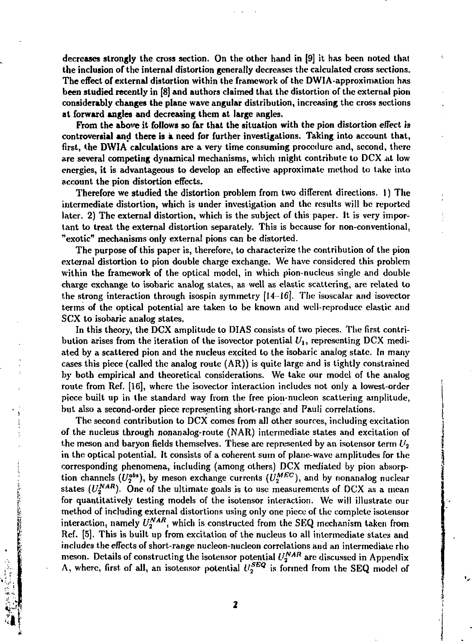decreases strongly the cross section. On the other hand in [9] it has been noted that the inclusion of the internal distortion generally decreases the calculated cross sections. The effect of external distortion within the framework of the DWIA-approximation has been studied recently in [8] and authors claimed that the distortion of the external pion considerably changes the plane wave angular distribution, increasing the cross sections at forward angles and decreasing them at large angles.

From the above it follows so far that the situation with the pion distortion effect is controversial and there is a need for further investigations. Taking into account that, first, the DWIA calculations are a very time consuming procedure and, second, there are several competing dynamical mechanisms, which might contribute to DCX at low energies, it is advantageous to develop an effective approximate method to take into account the pion distortion effects.

Therefore we studied the distortion problem from two different directions. 1) The intermediate distortion, which is under investigation and the results will be reported later. 2) The external distortion, which is the subject of this paper. It is very important to treat the external distortion separately. This is because for non-conventional, "exotic" mechanisms only external pions can be distorted.

The purpose of this paper is, therefore, to characterize the contribution of the pion external distortion to pion double charge exchange. We have considered this problem within the framework of the optical model, in which pion-nucieus single and double charge exchange to isobaric analog states, as well as elastic scattering, are related to the strong interaction through isospin symmetry [14-16]. The isoscalar and isovector terms of the optical potential are taken to be known and well-reproduce elastic and SCX to isobaric analog states.

In this theory, the DCX amplitude to DIAS consists of two pieces. The first contribution arises from the iteration of the isovector potential  $U_1$ , representing DCX mediated by a scattered pion and the nucleus excited to the isobaric analog state. In many cases this piece (called the analog route (AR)) is quite large and is tightly constrained by both empirical and theoretical considerations. We take our model of the analog route from Ret. [16], where the isovector interaction includes not only a lowest-order piece built up in the standard way from the free pion-nucleon scattering amplitude, but also a second-order piece representing short-range and Pauli correlations.

The second contribution to DCX comes from all other sources, including excitation of the nucleus through nonanalog-route (NAR) intermediate states and excitation of the meson and baryon fields themselves. These are represented by an isotensor term  $U_2$ in the optical potential. It consists of a coherent sum of plane-wave amplitudes for the corresponding phenomena, including (among others) DCX mediated by pion absorption channels  $(U_2^{abs})$ , by meson exchange currents  $(U_2^{MEC})$ , and by nonanalog nuclear states  $(U_2^{NAR})$ . One of the ultimate goals is to use measurements of DCX as a mean for quantitatively testing models of the isotensor interaction. We will illustrate our method of including external distortions using only one piece of the complete isotensor interaction, namely  $U^{NAR}_n$ , which is constructed from the SEQ mechanism taken from Ref. [5]. This is built up from excitation of the nucleus to all intermediate states and includes the effects of short-range nucleon-nucleon correlations and an intermediate rho meson. Details of constructing the isotensor potential *U^AR* are discussed in Appendix A, where, first of all, an isotensor potential  $U_2^{SEQ}$  is formed from the SEQ model of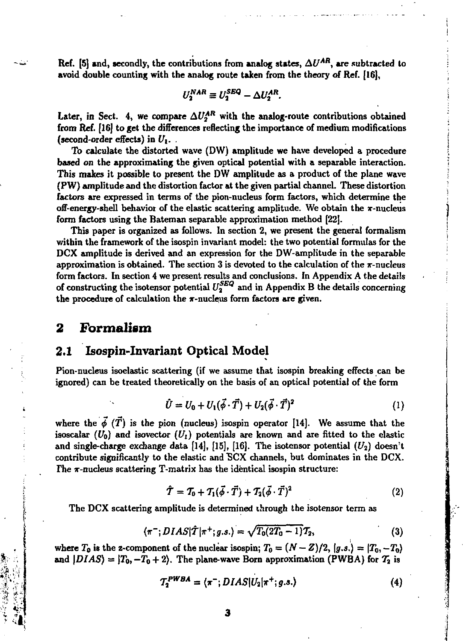**Ref.** [5] and, secondly, the contributions from analog states,  $\Delta U^{AB}$ , are subtracted to **avoid double counting with the analog route taken from the theory of Ref. [16],** 

$$
U_2^{NAR} \equiv U_2^{SEQ} - \Delta U_2^{AR}.
$$

Later, in Sect. 4, we compare  $\Delta U_2^{\text{AR}}$  with the analog-route contributions obtained **from Ref. [16] to get the differences reflecting the importance of medium modifications (second-order effects) in** *U\. .* 

**To calculate the distorted wave (DW) amplitude we have developed a procedure based on the approximating the given optical potential with a separable interaction. This makes it possible to present the DW amplitude as a product of the plane wave (PW) amplitude and the distortion factor at the given partial channel. These distortion factors are expressed in terms of the pion-nucleus form factors, which determine the**  off-energy-shell behavior of the elastic scattering amplitude. We obtain the x-nucleus **form factors using the Bateman separable approximation method [22].** 

**This paper is organized as follows. In section 2, we present the general formalism**  within the framework of the isospin invariant model: the two potential formulas for the **DCX amplitude is derived and an expression for the OW-amplitude in the separable approximation is obtained. The section 3 is devoted to the calculation of the т-nucleusform factors. In section 4 we present results and conclusions. In Appendix A the details**  of constructing the isotensor potential  $U_2^{S Z Q}$  and in Appendix B the details concerning the procedure of calculation the  $\pi$ -nucleus form factors are given.

## **2 Formalism**

## **2.1 Isospin-Invariant Optical Model**

**Pion-nucleus isoelastic scattering (if we assume that isospin breaking effects can be ignored) can be treated theoretically on the basis of an optical potential of the form** 

$$
\hat{U} = U_0 + U_1(\vec{\phi} \cdot \vec{T}) + U_2(\vec{\phi} \cdot \vec{T})^2
$$
 (1)

where the  $\vec{\phi}$  ( $\vec{T}$ ) is the pion (nucleus) isospin operator [14]. We assume that the isoscalar  $(U_0)$  and isovector  $(U_1)$  potentials are known and are fitted to the elastic and single-charge exchange data  $[14]$ ,  $[15]$ ,  $[16]$ . The isotensor potential  $(U_2)$  doesn't **contribute significantly to the elastic and "SCX channels, but dominates in the DCX.**  The  $\pi$ -nucleus scattering T-matrix has the identical isospin structure:

$$
\hat{\mathcal{T}} = \mathcal{T}_0 + \mathcal{T}_1(\vec{\phi} \cdot \vec{T}) + \mathcal{T}_2(\vec{\phi} \cdot \vec{T})^2 \tag{2}
$$

**The DCX scattering amplitude is determined ihrough the isotensor term as** 

$$
\langle \pi^{-}; DIAS | \hat{T} | \pi^{+}; g.s. \rangle = \sqrt{T_{0}(2T_{0} - 1)} \mathcal{T}_{2}, \tag{3}
$$

where  $T_0$  is the z-component of the nuclear isospin;  $T_0 = (N - Z)/2$ ,  $\langle g.s. \rangle = \langle T_0, -T_0 \rangle$ and  $|DIAS\rangle = |T_0, -T_0 + 2\rangle$ . The plane-wave Born approximation (PWBA) for  $T_2$  is

$$
T_2^{PWBA} = \langle \pi^-; DIAS | U_2 | \pi^+; g.s. \rangle \tag{4}
$$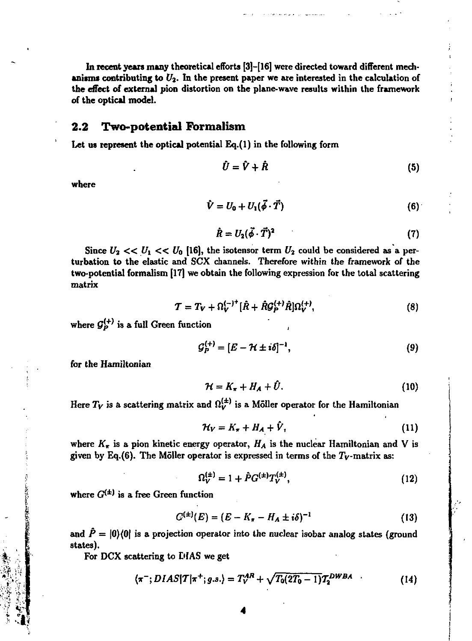**In recent years many theoretical efforts [3]-[16] were directed toward different mech**anisms contributing to  $U_2$ . In the present paper we are interested in the calculation of **the effect of external pion distortion on the plane-wave results within the framework of the optical model.** 

#### **2.2 Two-potential** Formalism

**Let us represent the optical potential Eq.(l) in the following form** 

$$
\hat{U} = \hat{V} + \hat{R} \tag{5}
$$

**where** 

$$
\hat{V} = U_0 + U_1(\vec{\phi} \cdot \vec{T}) \tag{6}
$$

$$
\hat{R} = U_2(\vec{\phi} \cdot \vec{T})^2 \tag{7}
$$

Since  $U_2 \ll U_1 \ll U_0$  [16], the isotensor term  $U_2$  could be considered as a per**turbation to the elastic and SCX channels. Therefore within the framework of the two-potential formalism [17] we obtain the following expression for the total scattering matrix** 

$$
\mathcal{T} = T_V + \Omega_V^{(-)^+} [\hat{R} + \hat{R} \mathcal{G}_P^{(+)} \hat{R}] \Omega_V^{(+)}, \tag{8}
$$

where  $\mathcal{G}_p^{(+)}$  is a full Green function

$$
\mathcal{G}_P^{(+)} = [E - \mathcal{H} \pm i\delta]^{-1},\tag{9}
$$

**for the Hamiltonian** 

$$
\mathcal{H} = K_{\pi} + H_A + \bar{U}.\tag{10}
$$

Here  $T_V$  is a scattering matrix and  $\Omega_V^{(1)}$  is a Möller operator for the Hamiltonian

$$
\mathcal{H}_V = K_\pi + H_A + \hat{V}, \tag{11}
$$

where  $K_{\pi}$  is a pion kinetic energy operator,  $H_A$  is the nuclear Hamiltonian and V is given by Eq.(6). The Möller operator is expressed in terms of the  $T_V$ -matrix as:

$$
\Omega_V^{(\pm)} = 1 + \hat{P} G^{(\pm)} T_V^{(\pm)},\tag{12}
$$

where  $G^{(\pm)}$  is a free Green function

$$
C^{(\pm)}(E) = (E - K_{\pi} - H_A \pm i\delta)^{-1}
$$
 (13)

and  $\hat{P} = |0\rangle\langle 0|$  is a projection operator into the nuclear isobar analog states (ground **states).** 

**For DCX scattering to DIAS we get** 

$$
\langle \pi^{-}; DIAS|T|\pi^{+}; g.s.\rangle = T_V^{AR} + \sqrt{T_0(2T_0-1)}T_2^{DWBA} \qquad (14)
$$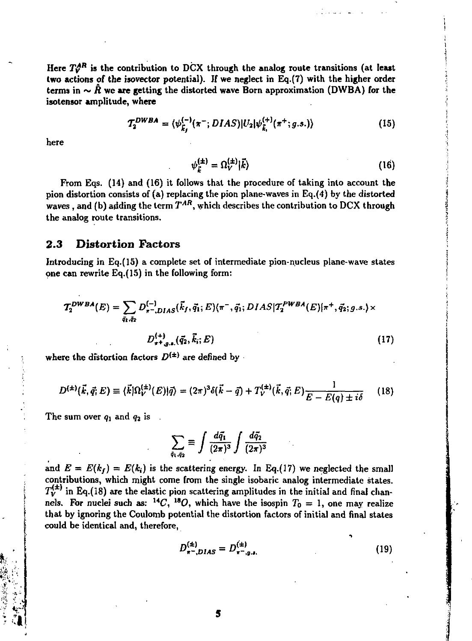Here  $T_A^{AR}$  is the contribution to DCX through the analog route transitions (at least two actions of the isovector potential). If we neglect in Eq.(7) with the higher order terms in  $\sim \hat{R}$  we are getting the distorted wave Born approximation (DWBA) for the isotensor amplitude, where

$$
T_2^{DWBA} = \langle \psi_{\vec{k}_f}^{(-)}(\pi^-; DIAS) | U_2 | \psi_{\vec{k}_i}^{(+)}(\pi^+; g.s.) \rangle \tag{15}
$$

here

$$
\psi_{\vec{k}}^{(\pm)} = \Omega_V^{(\pm)} |\vec{k}\rangle \tag{16}
$$

From Eqs. (14) and (16) it follows that the procedure of taking into account the pion distortion consists of (a) replacing the pion plane-waves in Eq.(4) by the distorted waves, and (b) adding the term  $T^{AR}$ , which describes the contribution to DCX through the analog route transitions.

#### $2.3$ **Distortion Factors**

Introducing in Eq.(15) a complete set of intermediate pion-nucleus plane-wave states one can rewrite Eq.(15) in the following form:

$$
\mathcal{T}_{2}^{DWBA}(E) = \sum_{\tilde{q}_{1}, \tilde{q}_{2}} D_{\pi-\text{,DIAS}}^{(-)}(\vec{k}_{f}, \tilde{q}_{1}; E) \langle \pi^{-}, \tilde{q}_{1}; DIAS | \mathcal{T}_{2}^{PWBA}(E) | \pi^{+}, \tilde{q}_{2}; g.s. \rangle \times
$$

$$
D_{\pi+\text{,g.s.}}^{(4)}(\vec{q}_{2}, \vec{k}_{i}; E) \tag{17}
$$

where the distortion factors  $D^{(\pm)}$  are defined by

$$
D^{(\pm)}(\vec{k},\vec{q};E) \equiv \langle \vec{k} | \Omega_V^{(\pm)}(E) | \vec{q} \rangle = (2\pi)^3 \delta(\vec{k} - \vec{q}) + T_V^{(\pm)}(\vec{k},\vec{q};E) \frac{1}{E - E(q) \pm i\delta} \tag{18}
$$

The sum over  $q_1$  and  $q_2$  is.

$$
\sum_{\tilde{q}_1,\tilde{q}_2}\equiv \int \frac{d\tilde{q}_1}{(2\pi)^3}\int \frac{d\tilde{q}_2}{(2\pi)^3}
$$

and  $E = E(k_i) = E(k_i)$  is the scattering energy. In Eq.(17) we neglected the small contributions, which might come from the single isobaric analog intermediate states.  $T_V^{(\pm)}$  in Eq.(18) are the elastic pion scattering amplitudes in the initial and final channels. For nuclei such as:  $^{14}C$ ,  $^{18}O$ , which have the isospin  $T_0 = 1$ , one may realize that by ignoring the Coulomb potential the distortion factors of initial and final states could be identical and, therefore,

$$
D_{\pi^- ,DIAS}^{(\pm)} = D_{\pi^- ,g.s.}^{(\pm)} \tag{19}
$$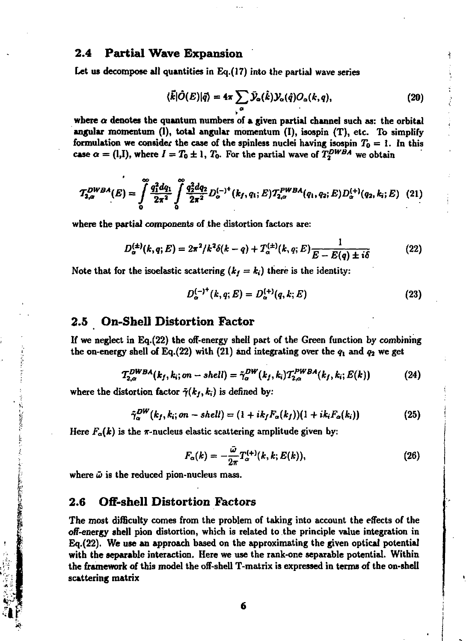## **2.4 Partial Wave Expansion**

**Let us decompose all quantities in Eq.(17) into the partial wave series** 

$$
\langle \vec{k} | \hat{O}(E) | \vec{q} \rangle = 4\pi \sum_{a} \bar{\mathcal{Y}}_{a}(\hat{k}) \mathcal{Y}_{a}(\hat{q}) O_{a}(k, q), \tag{20}
$$

where  $\alpha$  denotes the quantum numbers of a given partial channel such as: the orbital angular momentum (I), total angular momentum (I), isospin (T), etc. To simplify formulation we consider the case of the spinless nuclei having isospin  $T_0 = 1$ . In this **case**  $\alpha = (l, l)$ , where  $I = T_0 \pm 1$ ,  $T_0$ . For the partial wave of  $T_2^{DWBA}$  we obtain

$$
T_{2,\alpha}^{DWBA}(E) = \int_0^\infty \frac{q_1^2 dq_1}{2\pi^2} \int_0^\infty \frac{q_2^2 dq_2}{2\pi^2} D_{\alpha}^{(-)^+}(k_f, q_1; E) T_{2,\alpha}^{PWBA}(q_1, q_2; E) D_{\alpha}^{(+)}(q_2, k_i; E) \tag{21}
$$

**where the partial components of the distortion factors are:** 

$$
D_{\alpha}^{(\pm)}(k,q;E) = 2\pi^2/k^2\delta(k-q) + T_{\alpha}^{(\pm)}(k,q;E)\frac{1}{E - E(q) \pm i\delta}
$$
 (22)

Note that for the isoelastic scattering  $(k_f = k_i)$  there is the identity:

$$
D_{\alpha}^{(-)\dagger}(k,q;E) = D_{\alpha}^{(+)}(q,k;E)
$$
 (23)

#### **2.5 On-Shell Distortion Factor**

**If we neglect in Eq.(22) the off-energy shell part of the Green function by combining**  the on-energy shell of Eq.(22) with (21) and integrating over the  $q_1$  and  $q_2$  we get

$$
T_{2,\alpha}^{DWBA}(k_f, k_i; on-shell) = \tilde{\gamma}_{\alpha}^{DW}(k_f, k_i) T_{2,\alpha}^{PWBA}(k_f, k_i; E(k)) \qquad (24)
$$

where the distortion factor  $\tilde{\tau}(k_f, k_i)$  is defined by:

$$
\hat{\gamma}_{\alpha}^{DW}(k_f, k_i; on - shell) = (1 + ik_f F_{\alpha}(k_f)) (1 + ik_i F_{\alpha}(k_i))
$$
\n(25)

Here  $F_{\alpha}(k)$  is the  $\pi$ -nucleus elastic scattering amplitude given by:

$$
F_{\alpha}(k) = -\frac{\bar{\omega}}{2\pi} T_{\alpha}^{(+)}(k,k;E(k)),
$$
\n(26)

**where** *ш* **is the reduced pion-nucleus mass.** 

**私におりたとこともできたともものに私に安全な気配置の転換は** 

#### **2.6 Off-shell Distortion Factors**

**The most difficulty comes from the problem of taking into account the effects of the off-energy shell pion distortion, which is related to the principle value integration in Eq.(22). We use an approach based on the approximating the given optical potential with the separable interaction. Here we use the rank-one separable potential. Within the framework of this model the off-shell T-matrix is expressed in terms of the on-shell scattering matrix**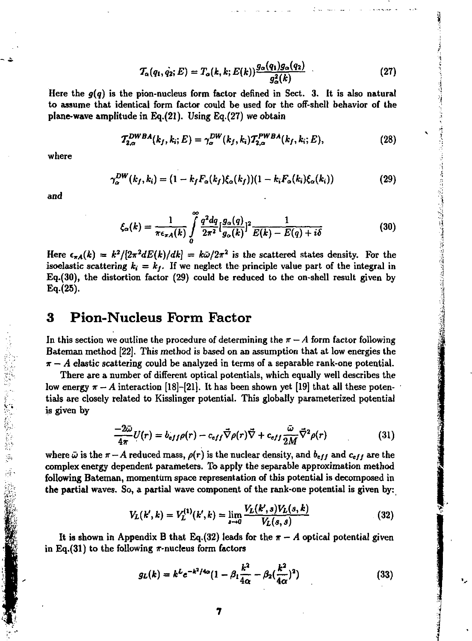$$
T_{\alpha}(q_1, \dot{q_2}; E) = T_{\alpha}(k, k; E(k)) \frac{g_{\alpha}(q_1)g_{\alpha}(q_2)}{g_{\alpha}^2(k)} \tag{27}
$$

Here the  $q(q)$  is the pion-nucleus form factor defined in Sect. 3. It is also natural to assume that identical form factor could be used for the off-shell behavior of the plane-wave amplitude in Eq.(21). Using Eq.(27) we obtain

$$
T_{2,\alpha}^{DWBA}(k_f, k_i; E) = \gamma_{\alpha}^{DW}(k_f, k_i) T_{2,\alpha}^{PWBA}(k_f, k_i; E), \qquad (28)
$$

where

$$
\gamma_{\alpha}^{DW}(k_f, k_i) = (1 - k_f F_{\alpha}(k_f) \xi_{\alpha}(k_f)) (1 - k_i F_{\alpha}(k_i) \xi_{\alpha}(k_i))
$$
\n(29)

and

.<br>R

$$
\xi_{\alpha}(k) = \frac{1}{\pi \epsilon_{\pi A}(k)} \int\limits_{0}^{\infty} \frac{q^2 dq}{2\pi^2} \left[\frac{g_{\alpha}(q)}{g_{\alpha}(k)}\right]^2 \frac{1}{E(k) - E(q) + i\delta} \tag{30}
$$

Here  $\epsilon_{\pi A}(k) = k^2/[2\pi^2 dE(k)/dk] = k\bar{\omega}/2\pi^2$  is the scattered states density. For the isoelastic scattering  $k_i = k_f$ . If we neglect the principle value part of the integral in Eq.(30), the distortion factor (29) could be reduced to the on-shell result given by  $Eq.(25)$ .

#### **Pion-Nucleus Form Factor** 3

In this section we outline the procedure of determining the  $\pi - A$  form factor following Bateman method [22]. This method is based on an assumption that at low energies the  $\pi - A$  elastic scattering could be analyzed in terms of a separable rank-one potential.

There are a number of different optical potentials, which equally well describes the low energy  $\pi - A$  interaction [18]-[21]. It has been shown yet [19] that all these potentials are closely related to Kisslinger potential. This globally parameterized potential is given by

$$
\frac{-2\bar{\omega}}{4\pi}U(r) = b_{eff}\rho(r) - c_{eff}\vec{\nabla}\rho(r)\vec{\nabla} + c_{eff}\frac{\bar{\omega}}{2M}\vec{\nabla}^2\rho(r)
$$
(31)

where  $\bar{\omega}$  is the  $\pi - A$  reduced mass,  $\rho(r)$  is the nuclear density, and  $b_{eff}$  and  $c_{eff}$  are the complex energy dependent parameters. To apply the separable approximation method following Bateman, momentum space representation of this potential is decomposed in the partial waves. So, a partial wave component of the rank-one potential is given by:

$$
V_L(k',k) = V_L^{(1)}(k',k) = \lim_{s \to 0} \frac{V_L(k',s)V_L(s,k)}{V_L(s,s)}
$$
(32)

It is shown in Appendix B that Eq. (32) leads for the  $\pi - A$  optical potential given in Eq.(31) to the following  $\pi$ -nucleus form factors

$$
g_L(k) = k^L e^{-k^2/4\alpha} (1 - \beta_1 \frac{k^2}{4\alpha} - \beta_2 (\frac{k^2}{4\alpha})^2)
$$
 (33)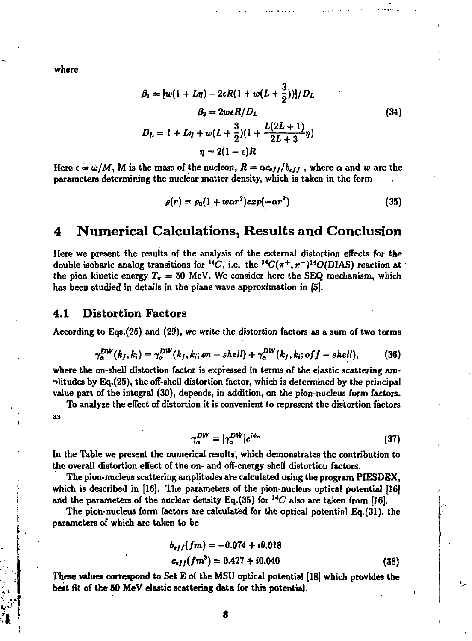where

$$
\beta_1 = [w(1 + L\eta) - 2\epsilon R(1 + w(L + \frac{3}{2}))]/D_L
$$
  
\n
$$
\beta_2 = 2w\epsilon R/D_L
$$
  
\n
$$
D_L = 1 + L\eta + w(L + \frac{3}{2})(1 + \frac{L(2L + 1)}{2L + 3}\eta)
$$
  
\n
$$
\eta = 2(1 - \epsilon)R
$$
  
\n(34)

Here  $\epsilon = \bar{\omega}/M$ , M is the mass of the nucleon,  $R = \alpha c_{eff}/b_{eff}$ , where  $\alpha$  and w are the parameters determining the nuclear matter density, which is taken in the form

$$
\rho(r) = \rho_0 (1 + w\alpha r^2) exp(-\alpha r^2) \tag{35}
$$

#### **Numerical Calculations, Results and Conclusion** 4

Here we present the results of the analysis of the external distortion effects for the double isobaric analog transitions for <sup>14</sup>C, i.e. the <sup>14</sup>C( $\pi^{+}$ , $\pi^{-}$ )<sup>14</sup>O(DIAS) reaction at the pion kinetic energy  $T_x = 50$  MeV. We consider here the SEQ mechanism, which has been studied in details in the plane wave approximation in [5].

#### **Distortion Factors** 4.1

According to Eqs.(25) and (29), we write the distortion factors as a sum of two terms

$$
\gamma_{\alpha}^{DW}(k_f,k_i)=\gamma_{\alpha}^{DW}(k_f,k_i;m-shell)+\gamma_{\alpha}^{DW}(k_f,k_i;off-shell),\qquad(36)
$$

where the on-shell distortion factor is expressed in terms of the elastic scattering amplitudes by Eq. (25), the off-shell distortion factor, which is determined by the principal value part of the integral (30), depends, in addition, on the pion-nucleus form factors.

To analyze the effect of distortion it is convenient to represent the distortion factors as

$$
\gamma_{\alpha}^{DW} = |\gamma_{\alpha}^{DW}| e^{i\phi_{\alpha}} \tag{37}
$$

In the Table we present the numerical results, which demonstrates the contribution to the overall distortion effect of the on- and off-energy shell distortion factors.

The pion-nucleus scattering amplitudes are calculated using the program PIESDEX. which is described in [16]. The parameters of the pion-nucleus optical potential [16] and the parameters of the nuclear density Eq.(35) for  $^{14}C$  also are taken from [16].

The pion-nucleus form factors are calculated for the optical potential Eq. (31), the parameters of which are taken to be

$$
b_{eff}(fm) = -0.074 + i0.018
$$
  

$$
c_{eff}(fm^3) = 0.427 + i0.040
$$
 (38)

These values correspond to Set E of the MSU optical potential [18] which provides the best fit of the 50 MeV elastic scattering data for this potential.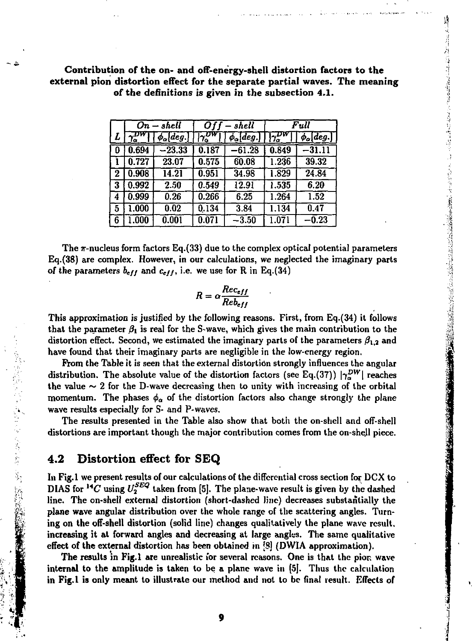|                        |                      |                                         |                                                       |               | of the on- and off-energy-shell distortion facto<br>tortion effect for the separate partial waves. 'I<br>the definitions is given in the subsection 4.1.               |  |
|------------------------|----------------------|-----------------------------------------|-------------------------------------------------------|---------------|------------------------------------------------------------------------------------------------------------------------------------------------------------------------|--|
|                        | $On-shell$           | - shell<br>Off -                        |                                                       | Full          |                                                                                                                                                                        |  |
| $\gamma_{\alpha}^{DW}$ | $\phi_\alpha [deg.]$ | $\frac{1}{2}$ UW                        | $\phi_\alpha [deg.]$                                  | $\frac{1}{2}$ | $\phi_\alpha [deg.]$                                                                                                                                                   |  |
| 0.694                  | $-23.33$             | 0.187                                   | $-61.28$                                              | 0.849         | $-31.11$                                                                                                                                                               |  |
| 0.727                  | 23.07                | 0.575                                   | 60.08                                                 | 1.236         | 39.32                                                                                                                                                                  |  |
| 0.908                  | 14.21                | 0.951                                   | 34.98                                                 | 1.829         | 24.84                                                                                                                                                                  |  |
| 0.992                  | 2.50                 | 0.549                                   | 12.91                                                 | 1.535         | 6.20                                                                                                                                                                   |  |
| 0.999                  | 0.26                 | 0.266                                   | 6.25                                                  | 1.264         | 1.52                                                                                                                                                                   |  |
| 1.000                  | 0.02                 | 0.134                                   | 3.84                                                  | 1.134         | 0.47                                                                                                                                                                   |  |
| 1.000                  | 0.001                | 0.071                                   | $-\overline{3.50}$                                    | 1.071         | $-\overline{0.23}$                                                                                                                                                     |  |
|                        |                      | $R = \alpha \frac{Rec_{eff}}{Re_{eff}}$ | $_{eff}$ and $c_{eff}$ , i.e. we use for R in Eq.(34) |               | rm factors Eq.(33) due to the complex optical potent<br>x. However, in our calculations, we neglected the in<br>is justified by the following reasons. First, from Eq. |  |

**Contribution of the on- and** off-energy-shell distortion **factors to the external pion distortion** effect for the separate partial waves. **The meaning**  of the definitions is given i

The  $\pi$ -nucleus form factors Eq.(33) due to the complex optical potential parameters Eq.(38) are complex. However, in our calculations, we neglected the imaginary parts of the parameters  $b_{eff}$  and  $c_{eff}$ , i.e. we use for R in Eq.(34)

$$
R = \alpha \frac{Rec_{eff}}{Re_{eff}}
$$

This approximation is justified by the following reasons. First, from Eq.(34) it follows that the parameter  $\beta_1$  is real for the S-wave, which gives the main contribution to the distortion effect. Second, we estimated the imaginary parts of the parameters  $\beta_{1,2}$  and have found that their imaginary parts are negligible in the low-energy region.

From the Table it is seen that the external distortion strongly influences the angular distribution. The absolute value of the distortion factors (see Eq.(37))  $|\gamma_{\alpha}^{DW}|$  reaches the value  $\sim$  2 for the D-wave decreasing then to unity with increasing of the orbital momentum. The phases  $\phi_{\alpha}$  of the distortion factors also change strongly the plane wave results especially for S- and P-waves.

The results presented in the Table also show that both the on-shell and off-shell distortions are important though the major contribution comes from the on-shell piece.

## **4.2 Distortion effect for SEQ**

2010年1月1日, 1980年, 1980年, 1980年, 1980年, 1980年, 1980年, 1980年, 1980年, 1980年, 1980年, 1980年, 1980年, 1980年

*L* 

6

 $0 \mid 0.694 \mid -23.33 \mid 0.187$ 

In Fig.l we present results of our calculations of the differential cross section for DCX to DIAS for <sup>14</sup>C using  $U_2^{SEQ}$  taken from [5]. The plane-wave result is given by the dashed line. The on-shell external distortion (short-dashed line) decreases substantially the plane wave angular distribution over the whole range of the scattering angles. Turning on the off-shell distortion (solid line) changes qualitatively the plane wave result, increasing it at forward angles and decreasing at large angles. The same qualitative effect of the external distortion has been obtained in [8] (DWIA approximation).

The results in Fig.1 are unrealistic for several reasons. One is that the pion wave internal to the amplitude is taken to be a plane wave in [5]. Thus the calculation in Fig.l is only meant to illustrate our method and not to be final result. Effects of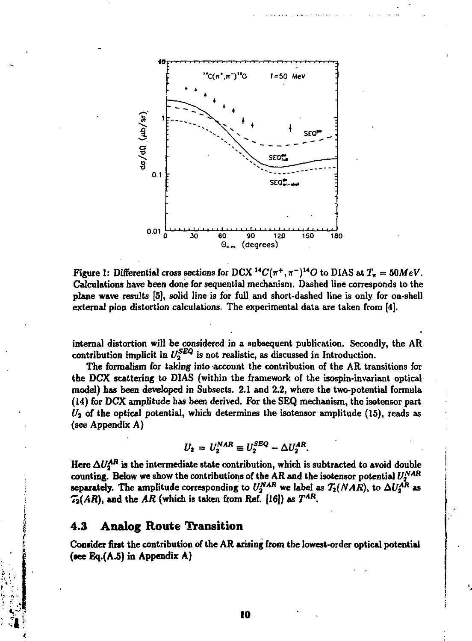

**Figure 1:** Differential cross sections for DCX  $^{14}C(\pi^{+}, \pi^{-})^{14}O$  to DIAS at  $T_{\pi} = 50MeV$ . **Calculations have been done for sequential mechanism. Dashed line corresponds to the plane wave results [5], solid line is for full and short-dashed line is only for on-shell external pion distortion calculations. The experimental data are taken from [4].** 

**internal distortion will be considered in a subsequent publication. Secondly, the AR**  contribution implicit in  $U_2^{SEQ}$  is not realistic, as discussed in Introduction.

**The formalism for taking into account the contribution of the AR transitions for the DCX scattering to DIAS (within the framework of the isospis-invariant optical model) has been developed in Subsects. 2.1 and 2.2, where the two-potential formula (14) for DCX amplitude has been derived. For the SEQ mechanism, the isotensor part**  *Ui* **of the optical potential, which determines the isotensor amplitude (15), reads as (see Appendix A)** 

$$
U_2 = U_2^{NAR} \equiv U_2^{SEQ} - \Delta U_2^{AR}.
$$

Here  $\Delta U_2^{AR}$  is the intermediate state contribution, which is subtracted to avoid double counting. Below we show the contributions of the AR and the isotensor potential  $U_2^{NAR}$ separately. The amplitude corresponding to  $U_2^{NAR}$  we label as  $T_2(NAR)$ , to  $\Delta U_2^{AR}$  as  $\mathcal{T}_2(AR)$ , and the AR (which is taken from Ref. [16]) as  $T^{AR}$ .

#### **4.3 Analog Route Transition**

**Consider first the contribution of the AR arising from the lowest-order optical potential (tee Eq.(A.5) in Appendix A)**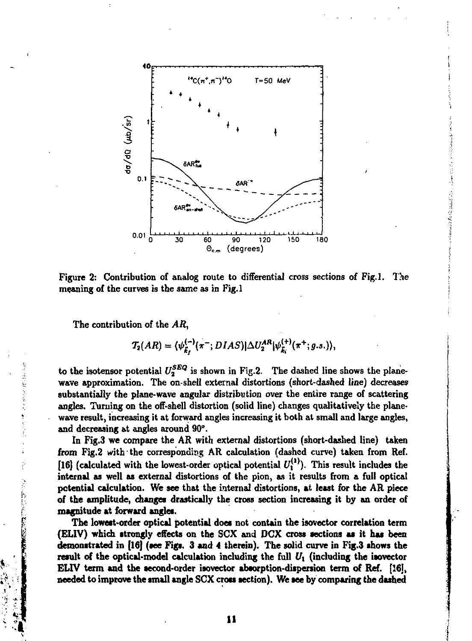

Figure 2: Contribution of analog route to differential cross sections of Fig.1. The meaning of the curves is the same as in Fig.1

The contribution of the AR,

$$
T_2(AR) = \langle \psi_{\vec{k}_I}^{(-)}(\pi^-; DIAS) | \Delta U_2^{AR} | \psi_{\vec{k}_I}^{(+)}(\pi^+;g.s.) \rangle,
$$

to the isotensor potential  $U_2^{SEQ}$  is shown in Fig.2. The dashed line shows the planewave approximation. The on-shell external distortions (short-dashed line) decreases substantially the plane-wave angular distribution over the entire range of scattering angles. Turning on the off-shell distortion (solid line) changes qualitatively the planewave result, increasing it at forward angles increasing it both at small and large angles, and decreasing at angles around 90°.

In Fig.3 we compare the AR with external distortions (short-dashed line) taken from Fig.2 with the corresponding AR calculation (dashed curve) taken from Ref. [16] (calculated with the lowest-order optical potential  $U_1^{(1)}$ ). This result includes the internal as well as external distortions of the pion, as it results from a full optical potential calculation. We see that the internal distortions, at least for the AR piece of the amplitude, changes drastically the cross section increasing it by an order of magnitude at forward angles.

The lowest-order optical potential does not contain the isovector correlation term (ELIV) which strongly effects on the SCX and DCX cross sections as it has been demonstrated in [16] (see Figs. 3 and 4 therein). The solid curve in Fig.3 shows the result of the optical-model calculation including the full  $U_1$  (including the isovector ELIV term and the second-order isovector absorption-dispersion term of Ref. [16]. needed to improve the small angle SCX cross section). We see by comparing the dashed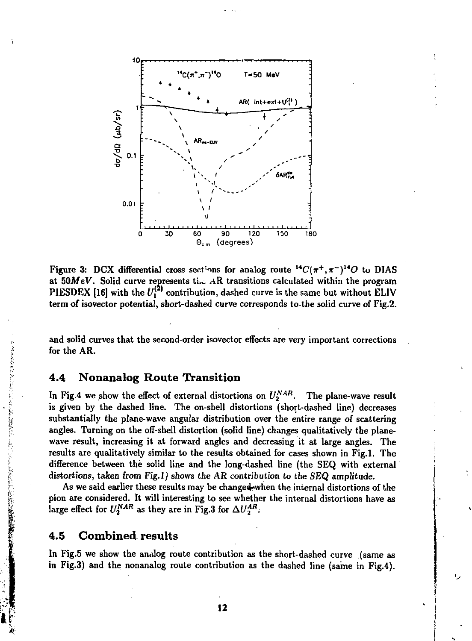

Figure 3: DCX differential cross sections for analog route  ${}^{14}C(\pi^+,\pi^-){}^{14}O$  to DIAS at  $50MeV$ . Solid curve represents the AR transitions calculated within the program PIESDEX [16] with the  $U_1^{(2)}$  contribution, dashed curve is the same but without ELIV term of isovector potential, short-dashed curve corresponds to-tbe solid curve of Fig.2.

and solid curves that the second-order isovector effects are very important corrections for the AR.

## **4.4 Nonanalog Route Transition**

In Fig.4 we show the effect of external distortions on  $U_2^{NAR}$ . The plane-wave result is given by the dashed line. The on-shell distortions (short-dashed line) decreases substantially the plane-wave angular distribution over the entire range of scattering angles. Turning on the off-shell distortion (solid line) changes qualitatively the planewave result, increasing it at forward angles and decreasing it at large angles. The results are qualitatively similar to the results obtained for cases shown in Fig.l. The difference between the solid line and the long-dashed line (the SEQ with external distortions, taken from Fig.l) shows the AR contribution to the SEQ amplitude.

As we said earlier these results may be changed when the internal distortions of the pion are considered. It will interesting to see whether the internal distortions have as large effect for  $U_2^{NAR}$  as they are in Fig.3 for  $\Delta U_2^{AR}$ .

## **4.5 Combined results**

**All Debates** 

「大学のことのない 極度の表現の

In Fig.5 we show the analog route contribution as the short-dashed curve (same as in Fig.3) and the nonanalog route contribution as the dashed line (same in Fig.4).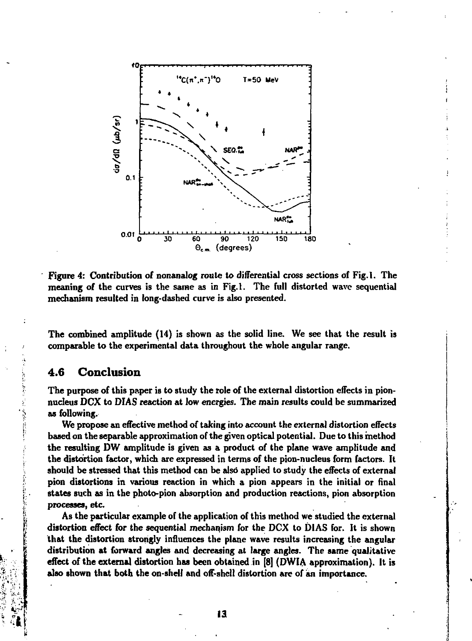

Figure 4: Contribution of nonanalog route to differential cross sections of Fig.1. The meaning of the curves is the same as in Fig.1. The full distorted wave sequential mechanism resulted in long-dashed curve is also presented.

The combined amplitude (14) is shown as the solid line. We see that the result is comparable to the experimental data throughout the whole angular range.

#### Conclusion 4.6

The purpose of this paper is to study the role of the external distortion effects in pionnucleus DCX to DIAS reaction at low energies. The main results could be summarized as following.

We propose an effective method of taking into account the external distortion effects based on the separable approximation of the given optical potential. Due to this method the resulting DW amplitude is given as a product of the plane wave amplitude and the distortion factor, which are expressed in terms of the pion-nucleus form factors. It should be stressed that this method can be also applied to study the effects of external pion distortions in various reaction in which a pion appears in the initial or final states such as in the photo-pion absorption and production reactions, pion absorption processes, etc.

As the particular example of the application of this method we studied the external distortion effect for the sequential mechanism for the DCX to DIAS for. It is shown that the distortion strongly influences the plane wave results increasing the angular distribution at forward angles and decreasing at large angles. The same qualitative effect of the external distortion has been obtained in [8] (DWIA approximation). It is also shown that both the on-shell and off-shell distortion are of an importance.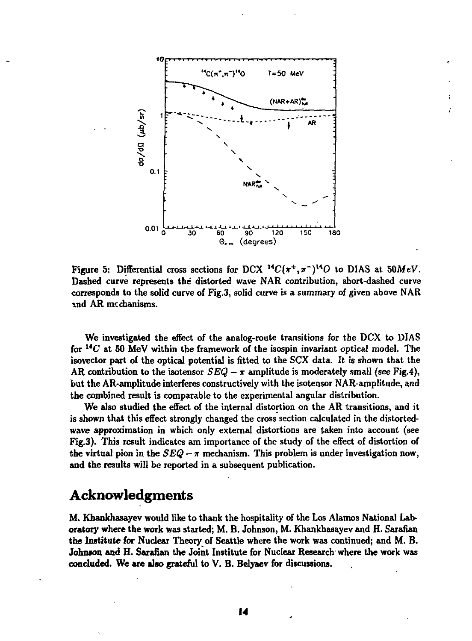

**Figure** 5: Differential cross sections for DCX  $^{14}C(\pi^{+}, \pi^{-})^{14}O$  to DIAS at 50MeV. **Dashed curve represents the distorted wave NAR contribution, short-dashed curve corresponds to the solid curve of Fig.3, solid curve is a summary of given above NAR and AR mechanisms.** 

**We investigated the effect of the analog-route transitions for the DCX to DIAS**  for <sup>14</sup>C at 50 MeV within the framework of the isospin invariant optical model. The **isovector part of the optical potential is fitted to the SCX data. It is shown that the AR contribution to the isotensor** *SEQ — т* **amplitude is moderately small (see Fig.4), but the AR-amplitude interferes constructively with the isotensor NAR-amplitude, and the combined result is comparable to the experimental angular distribution.** 

**We also studied the effect of the internal distortion on the AR transitions, and it is shown that this effect strongly changed the cross section calculated in the distortedwave approximation in which only external distortions are taken into account (see Fig.3). This result indicates am importance of the study of the effect of distortion of**  the virtual pion in the  $SEQ - \pi$  mechanism. This problem is under investigation now, **and the results will be reported in a subsequent publication.** 

# **Acknowledgments**

**M. Khankhasayev would like to thank the hospitality of the Los Alamos National Laboratory where the work was started; M. B. Johnson, M. Khankhasayev and H. Sarafian the Institute for Nuclear Theory of Seattle where the work was continued; and M. B. Johneon and H. Sarafian the Joint Institute for Nuclear Research where the work was concluded. We are also grateful to V. B. Belyaev for discussions.**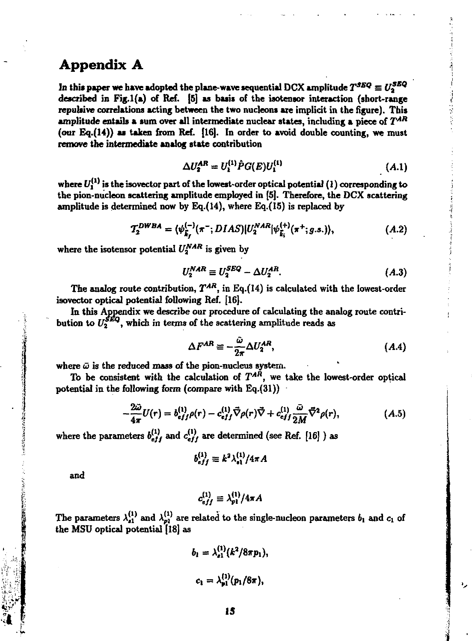# **Appendix A**

In this paper we have adopted the plane-wave sequential DCX amplitude  $T^{SBQ} \equiv U_2^{SBQ}$ described in Fig.1(a) of Ref. [5] as basis of the isotensor interaction (short-range repulsive correlations acting between the two nucleons **are** implicit in the figure). This amplitude entails a sum over **all** intermediate nuclear states, including a piece of *Т ля*  (our Eq.(14)) as taken from Ref. [16]. In order to avoid double counting, we must remove the intermediate **analog** state contribution

$$
\Delta U_2^{AR} = U_1^{(1)} \hat{P} G(E) U_1^{(1)} \tag{A.1}
$$

where  $U_1^{(1)}$  is the isovector part of the lowest-order optical potential (1) corresponding to the pion-nucleon scattering amplitude employed in [5]. Therefore, the OCX scattering amplitude is determined now by Eq.(14), where Eq.(15) is replaced by

$$
T_2^{DWBA} = \langle \psi_{\vec{k}_f}^{(-)}(\pi^-; DIAS) | U_2^{NAR} | \psi_{\vec{k}_i}^{(+)}(\pi^+; g.s.) \rangle, \tag{A.2}
$$

where the isotensor potential  $U_2^{NAR}$  is given by

$$
U_2^{NAR} \equiv U_2^{SEQ} - \Delta U_2^{AR}.\tag{A.3}
$$

The analog route contribution,  $T^{AR}$ , in Eq.(14) is calculated with the lowest-order isovector optical potential following Ref. [16].

In this Appendix we describe our procedure of calculating the analog route contribution to  $U_2^{\mathcal{S}\mathcal{L}Q}$ , which in terms of the scattering amplitude reads as

$$
\Delta F^{AR} \equiv -\frac{\tilde{\omega}}{2\pi} \Delta U_2^{AR},\tag{A.4}
$$

where  $\bar{\omega}$  is the reduced mass of the pion-nucleus system.

To be consistent with the calculation of *TAR ,* we take the lowest-order optical potential in the following form (compare with Eq.(31))

$$
-\frac{2\tilde{\omega}}{4\pi}U(r) = b_{eff}^{(1)}\rho(r) - c_{eff}^{(1)}\vec{\nabla}\rho(r)\vec{\nabla} + c_{eff}^{(1)}\frac{\tilde{\omega}}{2M}\vec{\nabla}^2\rho(r),
$$
(A.5)

where the parameters  $b_{eff}^{(1)}$  and  $c_{eff}^{(1)}$  are determined (see Ref. [16] ) as

$$
b_{eff}^{(1)} \equiv k^2 \lambda_{s1}^{(1)}/4\pi A
$$

and

$$
c_{eff}^{(1)} \equiv \lambda_{pl}^{(1)}/4\pi A
$$

The parameters  $\lambda_{n1}^{(1)}$  and  $\lambda_{n1}^{(1)}$  are related to the single-nucleon parameters  $b_1$  and  $c_1$  of the MSU optical potential [18] as

$$
b_1 = \lambda_{s1}^{(1)} (k^2/8\pi p_1),
$$
  

$$
c_1 = \lambda_{p1}^{(1)} (p_1/8\pi),
$$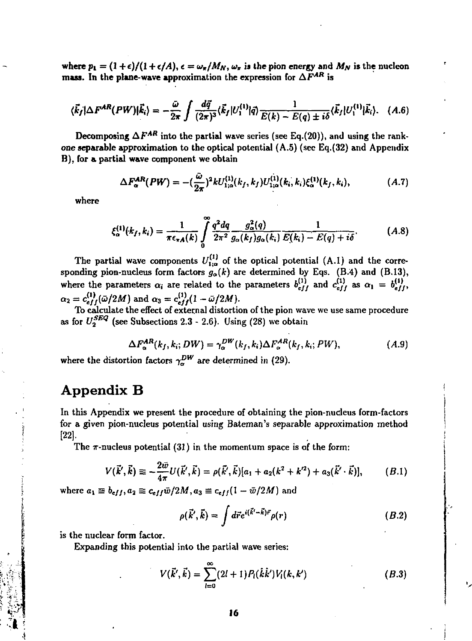where  $p_1 = (1 + \epsilon)/(1 + \epsilon/A)$ ,  $\epsilon = \omega_{\pi}/M_N$ ,  $\omega_{\pi}$  is the pion energy and  $M_N$  is the nucleon mass. In the plane-wave approximation the expression for  $\Delta F^{AR}$  is

$$
\langle \vec{k}_f | \Delta F^{AR}(PW) | \vec{k}_i \rangle = -\frac{\omega}{2\pi} \int \frac{d\vec{q}}{(2\pi)^3} \langle \vec{k}_f | U_1^{(1)} | \vec{q} \rangle \frac{1}{E(k) - E(q) \pm i\delta} \langle \vec{k}_f | U_1^{(1)} | \vec{k}_i \rangle. \quad (A.6)
$$

Decomposing  $\Delta F^{AR}$  into the partial wave series (see Eq.(20)), and using the rankone **separable** approximation to the optical potential (A.5) (sec Eq.(32) and Appendix B), for a partial wave component we obtain

$$
\Delta F_{\alpha}^{AR}(PW) = -(\frac{\tilde{\omega}}{2\pi})^2 k U_{1;\alpha}^{(1)}(k_f, k_f) U_{1;\alpha}^{(1)}(k_i, k_i) \xi_{\alpha}^{(1)}(k_f, k_i), \qquad (A.7)
$$

where

$$
\xi_{\alpha}^{(1)}(k_f, k_i) = \frac{1}{\pi \epsilon_{\pi A}(k)} \int_{0}^{\infty} \frac{q^2 dq}{2\pi^2} \frac{g_{\alpha}^2(q)}{g_{\alpha}(k_f)g_{\alpha}(k_i)} \frac{1}{E(k_i) - E(q) + i\delta}.
$$
 (A.8)

The partial wave components  $U_{1;\alpha}^{(1)}$  of the optical potential (A.1) and the corresponding pion-nucleus form factors *ga(k)* are determined by Eqs. (B.4) and (B.13), where the parameters  $\alpha_i$  are related to the parameters  $b_{eff}^{(1)}$  and  $c_{eff}^{(1)}$  as  $\alpha_1 = b_{eff}^{(1)}$ ,  $c_{eff}^{(1)}(\bar{\omega}/2M)$  and  $\alpha_3 = c_{eff}^{(1)}(1 - \bar{\omega}/2M)$ .

To calculate the effect of external distortion of the pion wave we use same procedure as for  $U_2^{3pq}$  (see Subsections 2.3 - 2.6). Using (28) we obtain

$$
\Delta F_{\alpha}^{AR}(k_f, k_i; DW) = \gamma_{\alpha}^{DW}(k_f, k_i) \Delta F_{\alpha}^{AR}(k_f, k_i; PW), \qquad (A.9)
$$

where the distortion factors  $\gamma_{\alpha}^{DW}$  are determined in (29).

# Appendix В

In this Appendix we present the procedure of obtaining the pion-nucleus form-factors for a given pion-nucleus potential using Bateman's separable approximation method [22].

The  $\pi$ -nucleus potential (31) in the momentum space is of the form:

$$
V(\vec{k}',\vec{k}) \equiv -\frac{2\bar{w}}{4\pi}U(\vec{k}',\vec{k}) = \rho(\vec{k}',\vec{k})\left[a_1 + a_2(k^2 + k'^2) + a_3(\vec{k}'\cdot\vec{k})\right],\tag{B.1}
$$

where  $a_1 \equiv b_{eff}, a_2 \equiv c_{eff} \tilde{w}/2M, a_3 \equiv c_{eff}(1 - \tilde{w}/2M)$  and

$$
\rho(\vec{k}',\vec{k}) = \int d\vec{r} e^{i(\vec{k}'-\vec{k})\vec{r}} \rho(r) \qquad (B.2)
$$

is the nuclear form factor.

Expanding this potential into the partial wave series:

$$
V(\vec{k}', \vec{k}) = \sum_{l=0}^{\infty} (2l+1) P_l(\hat{k}\hat{k}') V_l(k, k')
$$
 (B.3)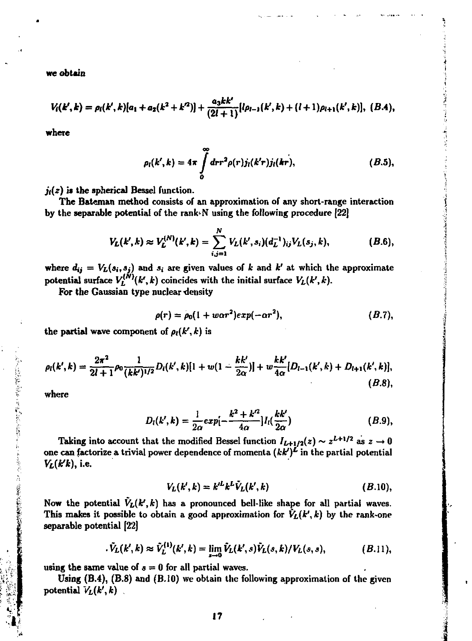**we obtain** 

$$
V_i(k',k)=\rho_i(k',k)[a_1+a_2(k^2+k'^2)]+\frac{a_3kk'}{(2l+1)}[l\rho_{l-1}(k',k)+(l+1)\rho_{l+1}(k',k)],\ (B.4),
$$

**where** 

$$
\rho_l(k',k) = 4\pi \int\limits_0^\infty dr r^2 \rho(r) j_l(k'r) j_l(kr), \qquad (B.5),
$$

 $j_i(z)$  is the spherical Bessel function.

**The Bateman method consists of an approximation of any short-range interaction by the separable potential of the rank-N using the following procedure [22]** 

$$
V_L(k',k) \approx V_L^{(N)}(k',k) = \sum_{i,j=1}^N V_L(k',s_i) (d_L^{-1})_{ij} V_L(s_j,k), \qquad (B.6),
$$

where  $d_{ij} = V_L(s_i, s_j)$  and  $s_i$  are given values of k and k' at which the approximate potential surface  $V_L^{(N)}(k',k)$  coincides with the initial surface  $V_L(k',k)$ .

For the Gaussian type nuclear density

$$
\rho(r)=\rho_0(1+war^2)exp(-\alpha r^2), \qquad (B.7),
$$

the partial wave component of  $\rho_l(k',k)$  is

$$
\rho_l(k',k)=\frac{2\pi^2}{2l+1}\rho_0\frac{1}{(kk')^{1/2}}D_l(k',k)[1+w(1-\frac{kk'}{2\alpha})]+w\frac{kk'}{4\alpha}[D_{l-1}(k',k)+D_{l+1}(k',k)],
$$
\n(B.8),

**where** 

今回は、現在は、日本の日本の日本には、まずを示した、各部の総合が最も発展した。

$$
D_l(k',k) = \frac{1}{2\alpha} exp[-\frac{k^2 + k'^2}{4\alpha}] I_l(\frac{kk'}{2\alpha})
$$
 (B.9),

**Taking into account that the modified Bessel function**  $I_{L+1/2}(z) \sim z^{L+1/2}$  **as**  $z \to 0$ **one can factorize a trivial power dependence of momenta** *{kk')<sup>L</sup>*  **in the partial potential**   $V_L(k'k)$ , i.e.

$$
V_L(k',k) = k'^L k^L \tilde{V}_L(k',k) \qquad (B.10),
$$

Now the potential  $\tilde{V}_L(k',k)$  has a pronounced bell-like shape for all partial waves. This makes it possible to obtain a good approximation for  $\tilde{V}_L(k',k)$  by the rank-one **separable potential [22]** 

$$
\tilde{V}_L(k',k) \approx \tilde{V}_L^{(1)}(k',k) = \lim_{s \to 0} \tilde{V}_L(k',s) \tilde{V}_L(s,k)/V_L(s,s), \qquad (B.11),
$$

using the same value of  $s = 0$  for all partial waves.

**Using (B.4), (B.S) and (B.10) we obtain the following approximation of the given**  potential  $V_L(k',k)$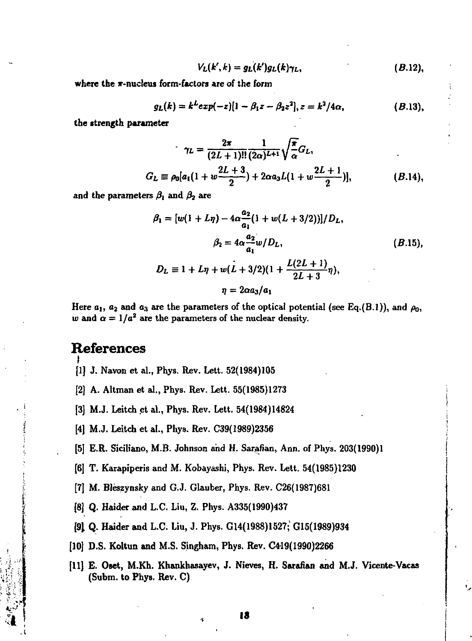$$
V_L(k',k)=g_L(k')g_L(k)\gamma_L,\qquad (B.12),
$$

where the x-nucleus form-factors are of the form

$$
g_L(k) = k^L exp(-z)[1 - \beta_1 z - \beta_2 z^2], z = k^2/4\alpha,
$$
 (B.13),

the strength parameter

$$
\gamma_L = \frac{2\pi}{(2L+1)!!} \frac{1}{(2\alpha)^{L+1}} \sqrt{\frac{\pi}{\alpha}} G_L,
$$
  
\n
$$
G_L \equiv \rho_0 [a_1(1+w \frac{2L+3}{2}) + 2\alpha a_3 L(1+w \frac{2L+1}{2})], \qquad (B.14),
$$

and the parameters  $\beta_1$  and  $\beta_2$  are

$$
\beta_1 = [w(1 + L\eta) - 4\alpha \frac{a_2}{a_1} (1 + w(L + 3/2))]/D_L,
$$
  
\n
$$
\beta_2 = 4\alpha \frac{a_2}{a_1} w/D_L,
$$
  
\n
$$
D_L \equiv 1 + L\eta + w(L + 3/2)(1 + \frac{L(2L + 1)}{2L + 3}\eta),
$$
  
\n
$$
\eta = 2\alpha a_3/a_1
$$
 (B.15)

Here  $a_1$ ,  $a_2$  and  $a_3$  are the parameters of the optical potential (see Eq.(B.1)), and  $\rho_0$ . w and  $\alpha = 1/a^2$  are the parameters of the nuclear density.

# **References**

- [1] J. Navon et al., Phys. Rev. Lett. 52(1984)105
- [2] A. Altman et al., Phys. Rev. Lett. 55(1985)1273
- [3] M.J. Leitch et al., Phys. Rev. Lett. 54(1984)14824
- [4] M.J. Leitch et al., Phys. Rev. C39(1989)2356
- [5] E.R. Siciliano, M.B. Johnson and H. Sarafian, Ann. of Phys. 203(1990)1
- [6] T. Karapiperis and M. Kobayashi, Phys. Rev. Lett. 54(1985)1230
- [7] M. Bleszynsky and G.J. Glauber, Phys. Rev. C26(1987)681
- [8] Q. Haider and L.C. Liu, Z. Phys. A335(1990)437
- [9] Q. Haider and L.C. Liu, J. Phys. G14(1988)1527; G15(1989)934
- [10] D.S. Koltun and M.S. Singham, Phys. Rev. C419(1990)2266
- [11] E. Oset, M.Kh. Khankhasayev, J. Nieves, H. Sarafian and M.J. Vicente-Vacas (Subm. to Phys. Rev. C)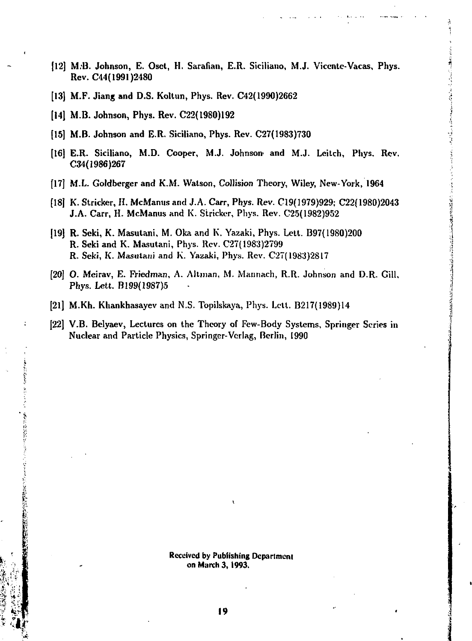- [12] M.'B. Johnson, E. Osct, H. Sarafian, E.R. Siciliano, M.J. Vicentc-Vacas, Phys. Rev. C44(1991)2480
- [13] M.F. Jiang and D.S. Koltun, Phys. Rev. C42(1990)2662
- [14] M.B. Johnson, Phys. Rev. C22( 1980)192
- [15] M.B. Johnson and E.R. Siciliano, Phys. Rev. C27(1983)730
- [16] E.R. Siciliano, M.D. Cooper, M.J. Johnson- and M.J. Leitch, Phys. Rev. 034(1986)267
- [17] M.L. Goldberger and K.M. Watson, Collision Theory, Wiley, New-York, 1964
- [18] K. Strieker, H. McManus and J.A. Carr, Phys. Rev. C19(1979)929; C22(1980)2043 J.A. Carr, H. McManus and K. Stricker, Phys. Rev. C25(1982)952
- [19] R. Seki, K. Masutani, M. Oka and K. Yazaki, Phys. Lett. B97(1980)200 R. Seki and K. Masutani, Phys. Rev. C27(1983)2799 R. Seki, K. Masutani and K. Yazaki, Phys. Rev. C27(1983)2817
- [20] O. Meirav, E. Friedman, A. Altman, M. Mannach, R.R. Johnson and D.R. Gill, Phys. Lett. B199(1987)5
- [21] M.Kh. Khankhasayev and N.S. Topilskaya, Phys. Lett. B217(1989)14
- [22] V.B. Belyaev, Lectures on the Theory of Few-Body Systems, Springer Series in Nuclear and Particle Physics, Springer-Verlag, Berlin, 1990

Received by Publishing Department on March 3,1993.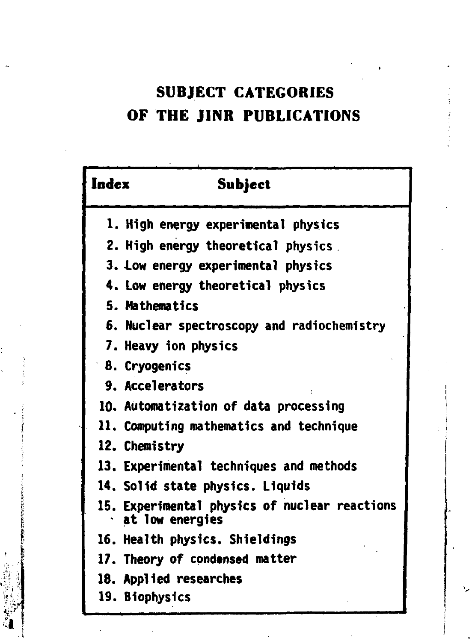# **SUBJECT CATEGORIES OF THE JINR PUBLICATIONS**

| Index | Subject                                                          |
|-------|------------------------------------------------------------------|
|       | 1. High energy experimental physics                              |
|       | 2. High energy theoretical physics                               |
|       | 3. Low energy experimental physics                               |
|       | 4. Low energy theoretical physics                                |
|       | 5. Mathematics                                                   |
|       | 6. Nuclear spectroscopy and radiochemistry                       |
|       | 7. Heavy ion physics                                             |
|       | 8. Cryogenics                                                    |
|       | 9. Accelerators                                                  |
|       | 10. Automatization of data processing                            |
|       | 11. Computing mathematics and technique                          |
|       | 12. Chemistry                                                    |
|       | 13. Experimental techniques and methods                          |
|       | 14. Solid state physics. Liquids                                 |
|       | 15. Experimental physics of nuclear reactions<br>at low energies |
|       | 16. Health physics. Shieldings                                   |
|       | 17. Theory of condensed matter                                   |
|       | 18. Applied researches                                           |
|       | 19. Biophysics                                                   |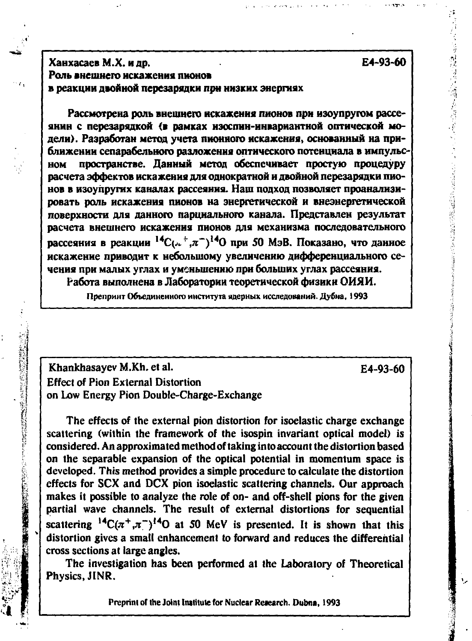医阴道神经神经神经神经神经经 计可行 医肾管管腔镜镜镜镜镜检查器

## **ХанхасаевМ.Х. идр. Е4-93-60**  Роль внешнего искажения пионов **в реакции двойной перезарядки при низких энергиях**

Рассмотрена роль внешнего искажения пионов при изоупругом рассеянин с перезарядкой (в рамках изослин-инвариантной оптической модели). Разработан метод учета пионного искажения, основанный на приближении сепарабельного разложения оптического потенциала в импульсном пространстве. Данный метод обеспечивает простую процедуру расчета эффектов искажения для однократной и двойной перезарядки пионов в изоупругих каналах рассеяния. Наш полход позволяет проанализировать роль искажения пионов на энергетической и внеэнергетической поверхности для данного парциального канала. Представлен результат расчета внешнего искажения пионов для механизма последовательного рассеяния в реакции  ${}^{14}C_{\{n+1, n=1\}}$ <sup>14</sup>О при 50 МэВ. Показано, что данное искажение приводит к небольшому увеличению дифференциального сечения при малых углах и уменьшению при больших углах рассеяния.

Работа выполнена в Лаборатории теоретической физики ОИЯИ.

Препринт Объединенного института ядерных исследований. Дубиа, 1993

**Khankhasayev M.Kh. et al.** E4-93-60 **Effect of Pion External Distortion on Low Energy Pion Double-Charge-Exchange** 

**中国語法研究上** 

**【大学生的方法》第10** 

**The effects of the external pion distortion for isoelastic charge exchange scattering (within the framework of the isospin invariant optical model) is considered. An approximated method of taking into account the distortion based on the separable expansion of the optical potential in momentum space is developed. This method provides a simple procedure to calculate the distortion effects for SCX and DCX pion isoelastic scattering channels. Our approach makes it possible to analyze the role of on- and off-shell pions for the given partial wave channels. The result of external distortions for sequential**  scattering  $^{14}C(\pi^+,\pi^-)^{14}O$  at 50 MeV is presented. It is shown that this **distortion gives a small enhancement to forward and reduces the differential cross sections at large angles.** 

**The investigation has been performed at the Laboratory of Theoretical Physics, JINR.** 

Preprint of the Joint Institute for Nuclear **Reiearch. Dubna, 1**993